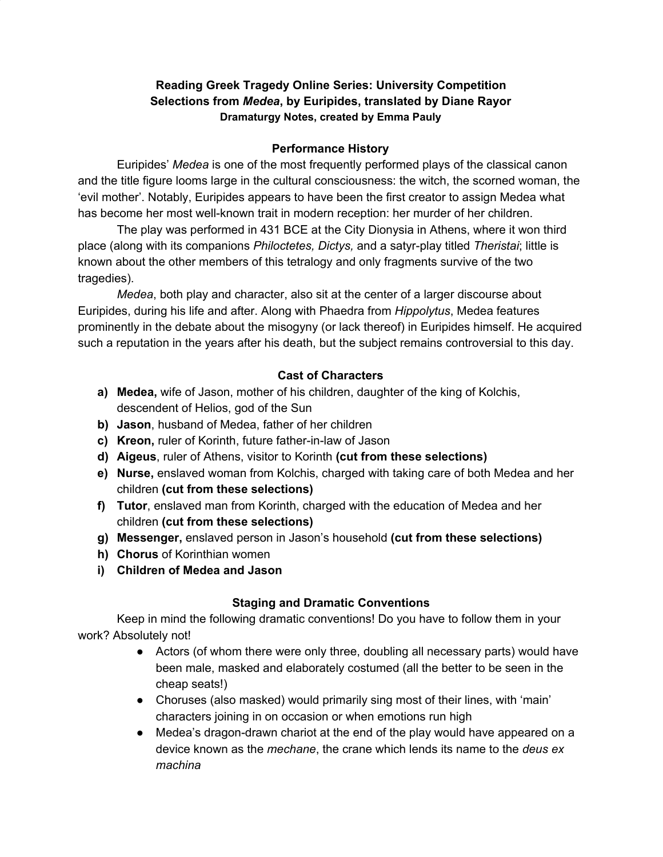# **Reading Greek Tragedy Online Series: University Competition Selections from** *Medea***, by Euripides, translated by Diane Rayor Dramaturgy Notes, created by Emma Pauly**

### **Performance History**

Euripides' *Medea* is one of the most frequently performed plays of the classical canon and the title figure looms large in the cultural consciousness: the witch, the scorned woman, the 'evil mother'. Notably, Euripides appears to have been the first creator to assign Medea what has become her most well-known trait in modern reception: her murder of her children.

The play was performed in 431 BCE at the City Dionysia in Athens, where it won third place (along with its companions *Philoctetes, Dictys,* and a satyr-play titled *Theristai*; little is known about the other members of this tetralogy and only fragments survive of the two tragedies).

*Medea*, both play and character, also sit at the center of a larger discourse about Euripides, during his life and after. Along with Phaedra from *Hippolytus*, Medea features prominently in the debate about the misogyny (or lack thereof) in Euripides himself. He acquired such a reputation in the years after his death, but the subject remains controversial to this day.

## **Cast of Characters**

- **a) Medea,** wife of Jason, mother of his children, daughter of the king of Kolchis, descendent of Helios, god of the Sun
- **b) Jason**, husband of Medea, father of her children
- **c) Kreon,** ruler of Korinth, future father-in-law of Jason
- **d) Aigeus**, ruler of Athens, visitor to Korinth **(cut from these selections)**
- **e) Nurse,** enslaved woman from Kolchis, charged with taking care of both Medea and her children **(cut from these selections)**
- **f) Tutor**, enslaved man from Korinth, charged with the education of Medea and her children **(cut from these selections)**
- **g) Messenger,** enslaved person in Jason's household **(cut from these selections)**
- **h) Chorus** of Korinthian women
- **i) Children of Medea and Jason**

## **Staging and Dramatic Conventions**

Keep in mind the following dramatic conventions! Do you have to follow them in your work? Absolutely not!

- Actors (of whom there were only three, doubling all necessary parts) would have been male, masked and elaborately costumed (all the better to be seen in the cheap seats!)
- Choruses (also masked) would primarily sing most of their lines, with 'main' characters joining in on occasion or when emotions run high
- Medea's dragon-drawn chariot at the end of the play would have appeared on a device known as the *mechane*, the crane which lends its name to the *deus ex machina*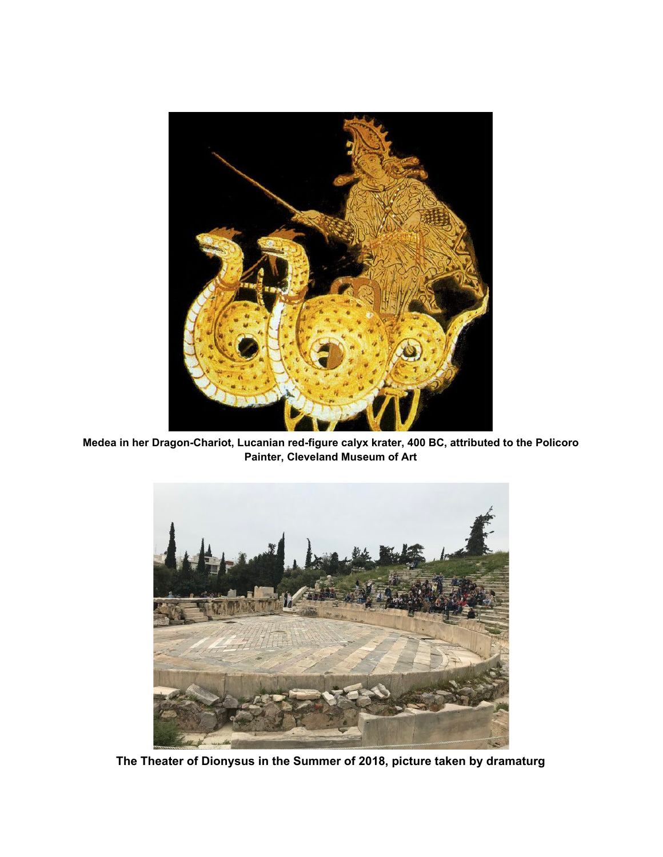

**Medea in her Dragon-Chariot, Lucanian red-figure calyx krater, 400 BC, attributed to the Policoro Painter, Cleveland Museum of Art**



**The Theater of Dionysus in the Summer of 2018, picture taken by dramaturg**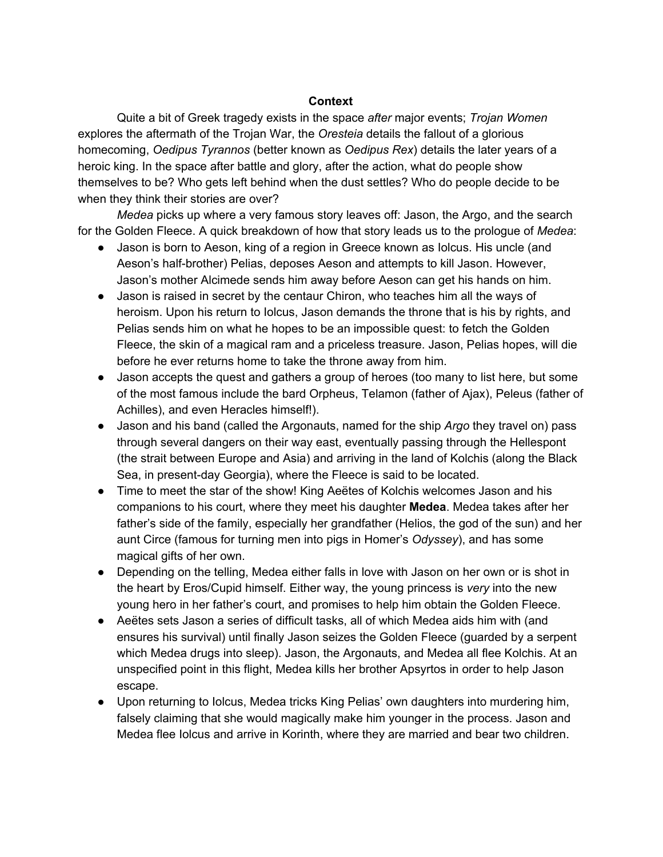#### **Context**

Quite a bit of Greek tragedy exists in the space *after* major events; *Trojan Women* explores the aftermath of the Trojan War, the *Oresteia* details the fallout of a glorious homecoming, *Oedipus Tyrannos* (better known as *Oedipus Rex*) details the later years of a heroic king. In the space after battle and glory, after the action, what do people show themselves to be? Who gets left behind when the dust settles? Who do people decide to be when they think their stories are over?

*Medea* picks up where a very famous story leaves off: Jason, the Argo, and the search for the Golden Fleece. A quick breakdown of how that story leads us to the prologue of *Medea*:

- Jason is born to Aeson, king of a region in Greece known as Iolcus. His uncle (and Aeson's half-brother) Pelias, deposes Aeson and attempts to kill Jason. However, Jason's mother Alcimede sends him away before Aeson can get his hands on him.
- Jason is raised in secret by the centaur Chiron, who teaches him all the ways of heroism. Upon his return to Iolcus, Jason demands the throne that is his by rights, and Pelias sends him on what he hopes to be an impossible quest: to fetch the Golden Fleece, the skin of a magical ram and a priceless treasure. Jason, Pelias hopes, will die before he ever returns home to take the throne away from him.
- Jason accepts the quest and gathers a group of heroes (too many to list here, but some of the most famous include the bard Orpheus, Telamon (father of Ajax), Peleus (father of Achilles), and even Heracles himself!).
- Jason and his band (called the Argonauts, named for the ship *Argo* they travel on) pass through several dangers on their way east, eventually passing through the Hellespont (the strait between Europe and Asia) and arriving in the land of Kolchis (along the Black Sea, in present-day Georgia), where the Fleece is said to be located.
- Time to meet the star of the show! King Aeëtes of Kolchis welcomes Jason and his companions to his court, where they meet his daughter **Medea**. Medea takes after her father's side of the family, especially her grandfather (Helios, the god of the sun) and her aunt Circe (famous for turning men into pigs in Homer's *Odyssey*), and has some magical gifts of her own.
- Depending on the telling, Medea either falls in love with Jason on her own or is shot in the heart by Eros/Cupid himself. Either way, the young princess is *very* into the new young hero in her father's court, and promises to help him obtain the Golden Fleece.
- Aeëtes sets Jason a series of difficult tasks, all of which Medea aids him with (and ensures his survival) until finally Jason seizes the Golden Fleece (guarded by a serpent which Medea drugs into sleep). Jason, the Argonauts, and Medea all flee Kolchis. At an unspecified point in this flight, Medea kills her brother Apsyrtos in order to help Jason escape.
- Upon returning to Iolcus, Medea tricks King Pelias' own daughters into murdering him, falsely claiming that she would magically make him younger in the process. Jason and Medea flee Iolcus and arrive in Korinth, where they are married and bear two children.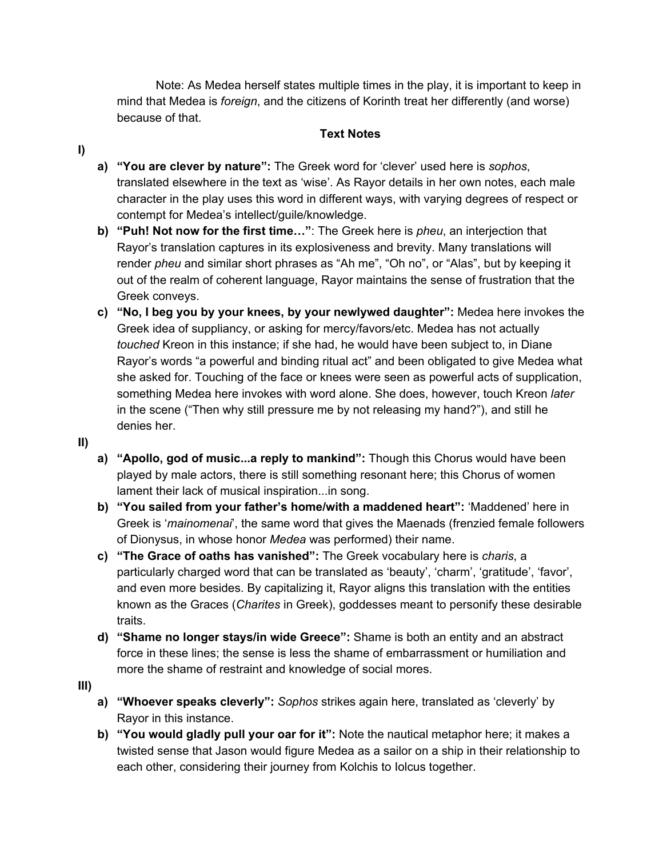Note: As Medea herself states multiple times in the play, it is important to keep in mind that Medea is *foreign*, and the citizens of Korinth treat her differently (and worse) because of that.

### **Text Notes**

- **I)**
- **a) "You are clever by nature":** The Greek word for 'clever' used here is *sophos*, translated elsewhere in the text as 'wise'. As Rayor details in her own notes, each male character in the play uses this word in different ways, with varying degrees of respect or contempt for Medea's intellect/guile/knowledge.
- **b) "Puh! Not now for the first time…"**: The Greek here is *pheu*, an interjection that Rayor's translation captures in its explosiveness and brevity. Many translations will render *pheu* and similar short phrases as "Ah me", "Oh no", or "Alas", but by keeping it out of the realm of coherent language, Rayor maintains the sense of frustration that the Greek conveys.
- **c) "No, I beg you by your knees, by your newlywed daughter":** Medea here invokes the Greek idea of suppliancy, or asking for mercy/favors/etc. Medea has not actually *touched* Kreon in this instance; if she had, he would have been subject to, in Diane Rayor's words "a powerful and binding ritual act" and been obligated to give Medea what she asked for. Touching of the face or knees were seen as powerful acts of supplication, something Medea here invokes with word alone. She does, however, touch Kreon *later* in the scene ("Then why still pressure me by not releasing my hand?"), and still he denies her.
- **II)**
- **a) "Apollo, god of music...a reply to mankind":** Though this Chorus would have been played by male actors, there is still something resonant here; this Chorus of women lament their lack of musical inspiration...in song.
- **b) "You sailed from your father's home/with a maddened heart":** 'Maddened' here in Greek is '*mainomenai*', the same word that gives the Maenads (frenzied female followers of Dionysus, in whose honor *Medea* was performed) their name.
- **c) "The Grace of oaths has vanished":** The Greek vocabulary here is *charis*, a particularly charged word that can be translated as 'beauty', 'charm', 'gratitude', 'favor', and even more besides. By capitalizing it, Rayor aligns this translation with the entities known as the Graces (*Charites* in Greek), goddesses meant to personify these desirable traits.
- **d) "Shame no longer stays/in wide Greece":** Shame is both an entity and an abstract force in these lines; the sense is less the shame of embarrassment or humiliation and more the shame of restraint and knowledge of social mores.
- **III)**
- **a) "Whoever speaks cleverly":** *Sophos* strikes again here, translated as 'cleverly' by Rayor in this instance.
- **b) "You would gladly pull your oar for it":** Note the nautical metaphor here; it makes a twisted sense that Jason would figure Medea as a sailor on a ship in their relationship to each other, considering their journey from Kolchis to Iolcus together.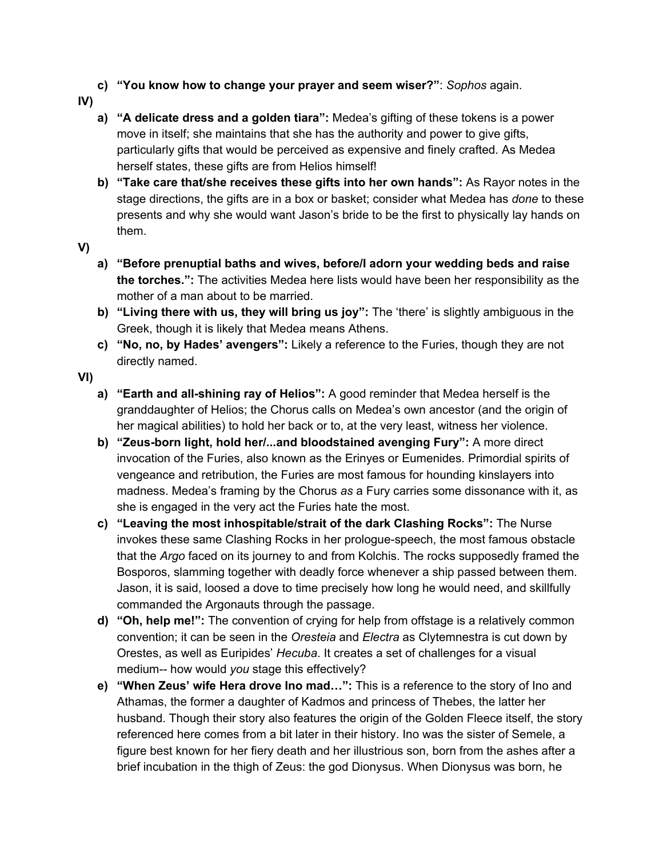- **c) "You know how to change your prayer and seem wiser?"**: *Sophos* again.
- **IV)**
	- **a) "A delicate dress and a golden tiara":** Medea's gifting of these tokens is a power move in itself; she maintains that she has the authority and power to give gifts, particularly gifts that would be perceived as expensive and finely crafted. As Medea herself states, these gifts are from Helios himself!
	- **b) "Take care that/she receives these gifts into her own hands":** As Rayor notes in the stage directions, the gifts are in a box or basket; consider what Medea has *done* to these presents and why she would want Jason's bride to be the first to physically lay hands on them.
- **V)**
- **a) "Before prenuptial baths and wives, before/I adorn your wedding beds and raise the torches.":** The activities Medea here lists would have been her responsibility as the mother of a man about to be married.
- **b) "Living there with us, they will bring us joy":** The 'there' is slightly ambiguous in the Greek, though it is likely that Medea means Athens.
- **c) "No, no, by Hades' avengers":** Likely a reference to the Furies, though they are not directly named.
- **VI)**
	- **a) "Earth and all-shining ray of Helios":** A good reminder that Medea herself is the granddaughter of Helios; the Chorus calls on Medea's own ancestor (and the origin of her magical abilities) to hold her back or to, at the very least, witness her violence.
	- **b) "Zeus-born light, hold her/...and bloodstained avenging Fury":** A more direct invocation of the Furies, also known as the Erinyes or Eumenides. Primordial spirits of vengeance and retribution, the Furies are most famous for hounding kinslayers into madness. Medea's framing by the Chorus *as* a Fury carries some dissonance with it, as she is engaged in the very act the Furies hate the most.
	- **c) "Leaving the most inhospitable/strait of the dark Clashing Rocks":** The Nurse invokes these same Clashing Rocks in her prologue-speech, the most famous obstacle that the *Argo* faced on its journey to and from Kolchis. The rocks supposedly framed the Bosporos, slamming together with deadly force whenever a ship passed between them. Jason, it is said, loosed a dove to time precisely how long he would need, and skillfully commanded the Argonauts through the passage.
	- **d) "Oh, help me!":** The convention of crying for help from offstage is a relatively common convention; it can be seen in the *Oresteia* and *Electra* as Clytemnestra is cut down by Orestes, as well as Euripides' *Hecuba*. It creates a set of challenges for a visual medium-- how would *you* stage this effectively?
	- **e) "When Zeus' wife Hera drove Ino mad…":** This is a reference to the story of Ino and Athamas, the former a daughter of Kadmos and princess of Thebes, the latter her husband. Though their story also features the origin of the Golden Fleece itself, the story referenced here comes from a bit later in their history. Ino was the sister of Semele, a figure best known for her fiery death and her illustrious son, born from the ashes after a brief incubation in the thigh of Zeus: the god Dionysus. When Dionysus was born, he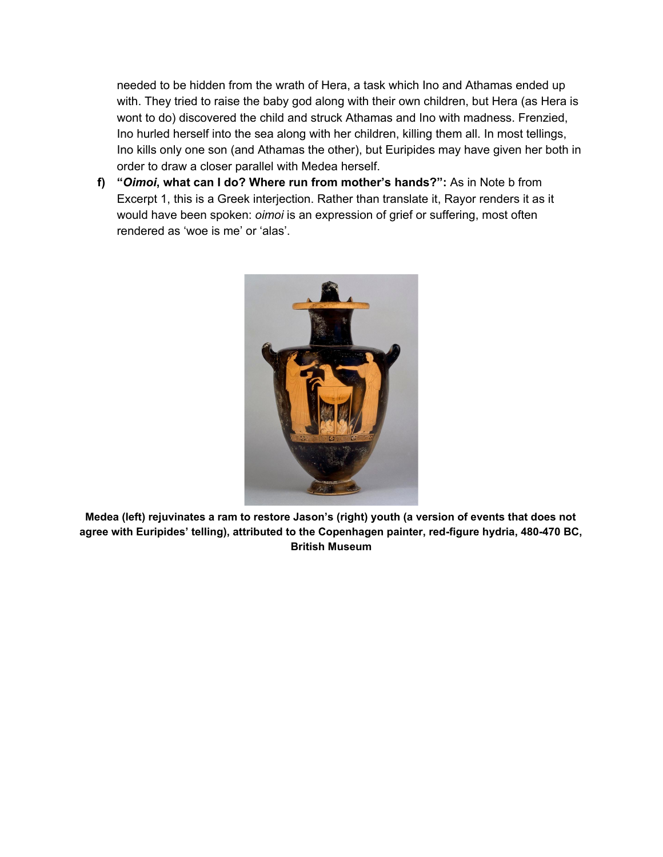needed to be hidden from the wrath of Hera, a task which Ino and Athamas ended up with. They tried to raise the baby god along with their own children, but Hera (as Hera is wont to do) discovered the child and struck Athamas and Ino with madness. Frenzied, Ino hurled herself into the sea along with her children, killing them all. In most tellings, Ino kills only one son (and Athamas the other), but Euripides may have given her both in order to draw a closer parallel with Medea herself.

**f) "***Oimoi***, what can I do? Where run from mother's hands?":** As in Note b from Excerpt 1, this is a Greek interjection. Rather than translate it, Rayor renders it as it would have been spoken: *oimoi* is an expression of grief or suffering, most often rendered as 'woe is me' or 'alas'.



**Medea (left) rejuvinates a ram to restore Jason's (right) youth (a version of events that does not agree with Euripides' telling), attributed to the Copenhagen painter, red-figure hydria, 480-470 BC, British Museum**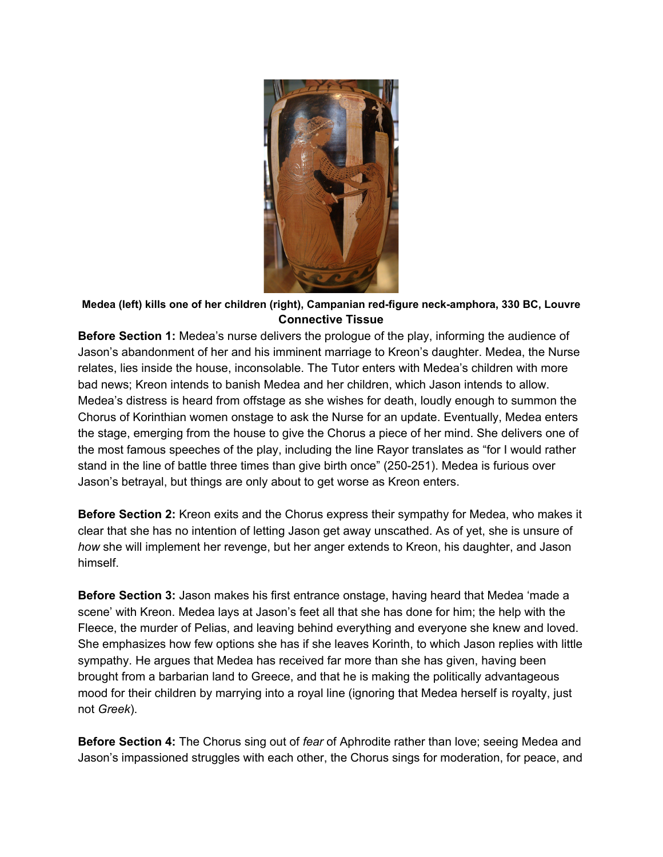

### **Medea (left) kills one of her children (right), Campanian red-figure neck-amphora, 330 BC, Louvre Connective Tissue**

**Before Section 1:** Medea's nurse delivers the prologue of the play, informing the audience of Jason's abandonment of her and his imminent marriage to Kreon's daughter. Medea, the Nurse relates, lies inside the house, inconsolable. The Tutor enters with Medea's children with more bad news; Kreon intends to banish Medea and her children, which Jason intends to allow. Medea's distress is heard from offstage as she wishes for death, loudly enough to summon the Chorus of Korinthian women onstage to ask the Nurse for an update. Eventually, Medea enters the stage, emerging from the house to give the Chorus a piece of her mind. She delivers one of the most famous speeches of the play, including the line Rayor translates as "for I would rather stand in the line of battle three times than give birth once" (250-251). Medea is furious over Jason's betrayal, but things are only about to get worse as Kreon enters.

**Before Section 2:** Kreon exits and the Chorus express their sympathy for Medea, who makes it clear that she has no intention of letting Jason get away unscathed. As of yet, she is unsure of *how* she will implement her revenge, but her anger extends to Kreon, his daughter, and Jason himself.

**Before Section 3:** Jason makes his first entrance onstage, having heard that Medea 'made a scene' with Kreon. Medea lays at Jason's feet all that she has done for him; the help with the Fleece, the murder of Pelias, and leaving behind everything and everyone she knew and loved. She emphasizes how few options she has if she leaves Korinth, to which Jason replies with little sympathy. He argues that Medea has received far more than she has given, having been brought from a barbarian land to Greece, and that he is making the politically advantageous mood for their children by marrying into a royal line (ignoring that Medea herself is royalty, just not *Greek*).

**Before Section 4:** The Chorus sing out of *fear* of Aphrodite rather than love; seeing Medea and Jason's impassioned struggles with each other, the Chorus sings for moderation, for peace, and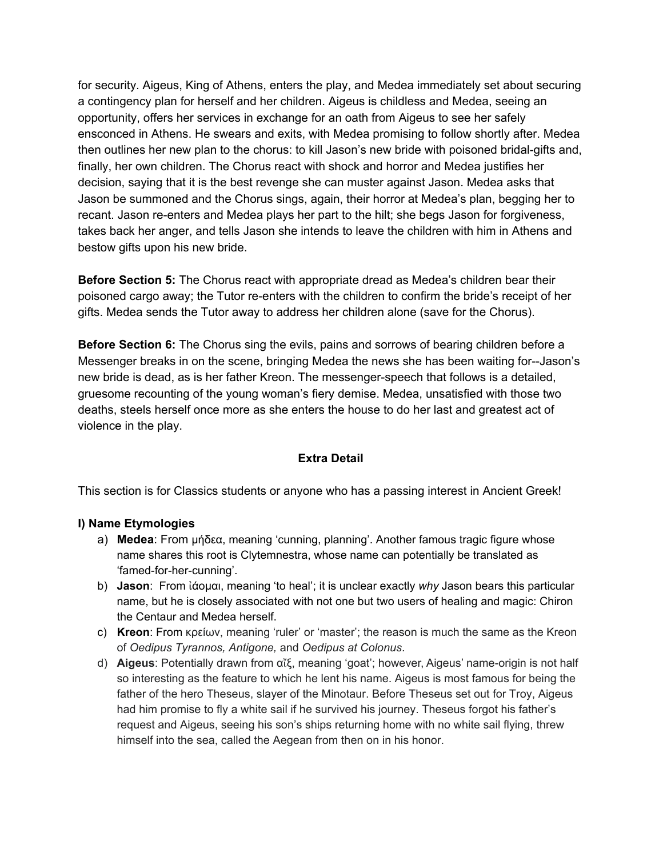for security. Aigeus, King of Athens, enters the play, and Medea immediately set about securing a contingency plan for herself and her children. Aigeus is childless and Medea, seeing an opportunity, offers her services in exchange for an oath from Aigeus to see her safely ensconced in Athens. He swears and exits, with Medea promising to follow shortly after. Medea then outlines her new plan to the chorus: to kill Jason's new bride with poisoned bridal-gifts and, finally, her own children. The Chorus react with shock and horror and Medea justifies her decision, saying that it is the best revenge she can muster against Jason. Medea asks that Jason be summoned and the Chorus sings, again, their horror at Medea's plan, begging her to recant. Jason re-enters and Medea plays her part to the hilt; she begs Jason for forgiveness, takes back her anger, and tells Jason she intends to leave the children with him in Athens and bestow gifts upon his new bride.

**Before Section 5:** The Chorus react with appropriate dread as Medea's children bear their poisoned cargo away; the Tutor re-enters with the children to confirm the bride's receipt of her gifts. Medea sends the Tutor away to address her children alone (save for the Chorus).

**Before Section 6:** The Chorus sing the evils, pains and sorrows of bearing children before a Messenger breaks in on the scene, bringing Medea the news she has been waiting for--Jason's new bride is dead, as is her father Kreon. The messenger-speech that follows is a detailed, gruesome recounting of the young woman's fiery demise. Medea, unsatisfied with those two deaths, steels herself once more as she enters the house to do her last and greatest act of violence in the play.

#### **Extra Detail**

This section is for Classics students or anyone who has a passing interest in Ancient Greek!

#### **I) Name Etymologies**

- a) **Medea**: From μήδεα, meaning 'cunning, planning'. Another famous tragic figure whose name shares this root is Clytemnestra, whose name can potentially be translated as 'famed-for-her-cunning'.
- b) **Jason**: From ἰάομαι, meaning 'to heal'; it is unclear exactly *why* Jason bears this particular name, but he is closely associated with not one but two users of healing and magic: Chiron the Centaur and Medea herself.
- c) **Kreon**: From κρείων, meaning 'ruler' or 'master'; the reason is much the same as the Kreon of *Oedipus Tyrannos, Antigone,* and *Oedipus at Colonus*.
- d) **Aigeus**: Potentially drawn from αἴξ, meaning 'goat'; however, Aigeus' name-origin is not half so interesting as the feature to which he lent his name. Aigeus is most famous for being the father of the hero Theseus, slayer of the Minotaur. Before Theseus set out for Troy, Aigeus had him promise to fly a white sail if he survived his journey. Theseus forgot his father's request and Aigeus, seeing his son's ships returning home with no white sail flying, threw himself into the sea, called the Aegean from then on in his honor.